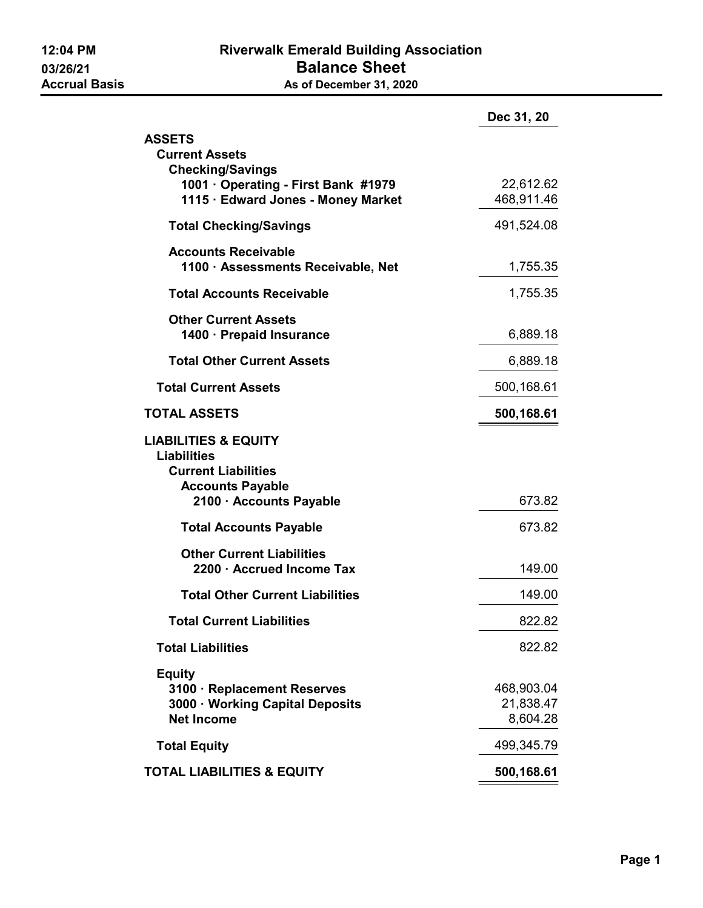|                                                                  | Dec 31, 20 |  |
|------------------------------------------------------------------|------------|--|
| <b>ASSETS</b>                                                    |            |  |
| <b>Current Assets</b><br><b>Checking/Savings</b>                 |            |  |
| 1001 · Operating - First Bank #1979                              | 22,612.62  |  |
| 1115 · Edward Jones - Money Market                               | 468,911.46 |  |
| <b>Total Checking/Savings</b>                                    | 491,524.08 |  |
| <b>Accounts Receivable</b><br>1100 · Assessments Receivable, Net | 1,755.35   |  |
| <b>Total Accounts Receivable</b>                                 | 1,755.35   |  |
| <b>Other Current Assets</b>                                      |            |  |
| 1400 · Prepaid Insurance                                         | 6,889.18   |  |
| <b>Total Other Current Assets</b>                                | 6,889.18   |  |
| <b>Total Current Assets</b>                                      | 500,168.61 |  |
| <b>TOTAL ASSETS</b>                                              | 500,168.61 |  |
| <b>LIABILITIES &amp; EQUITY</b>                                  |            |  |
| <b>Liabilities</b><br><b>Current Liabilities</b>                 |            |  |
| <b>Accounts Payable</b>                                          |            |  |
| 2100 · Accounts Payable                                          | 673.82     |  |
| <b>Total Accounts Payable</b>                                    | 673.82     |  |
| <b>Other Current Liabilities</b>                                 |            |  |
| 2200 · Accrued Income Tax                                        | 149.00     |  |
| <b>Total Other Current Liabilities</b>                           | 149.00     |  |
| <b>Total Current Liabilities</b>                                 | 822.82     |  |
| <b>Total Liabilities</b>                                         | 822.82     |  |
| <b>Equity</b>                                                    |            |  |
| 3100 · Replacement Reserves                                      | 468,903.04 |  |
| 3000 · Working Capital Deposits                                  | 21,838.47  |  |
| <b>Net Income</b>                                                | 8,604.28   |  |
| <b>Total Equity</b>                                              | 499,345.79 |  |
| <b>TOTAL LIABILITIES &amp; EQUITY</b>                            | 500,168.61 |  |